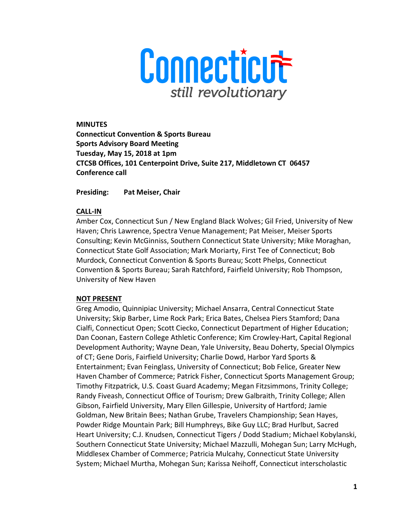

**MINUTES Connecticut Convention & Sports Bureau Sports Advisory Board Meeting Tuesday, May 15, 2018 at 1pm CTCSB Offices, 101 Centerpoint Drive, Suite 217, Middletown CT 06457 Conference call** 

**Presiding: Pat Meiser, Chair** 

## **CALL-IN**

Amber Cox, Connecticut Sun / New England Black Wolves; Gil Fried, University of New Haven; Chris Lawrence, Spectra Venue Management; Pat Meiser, Meiser Sports Consulting; Kevin McGinniss, Southern Connecticut State University; Mike Moraghan, Connecticut State Golf Association; Mark Moriarty, First Tee of Connecticut; Bob Murdock, Connecticut Convention & Sports Bureau; Scott Phelps, Connecticut Convention & Sports Bureau; Sarah Ratchford, Fairfield University; Rob Thompson, University of New Haven

## **NOT PRESENT**

Greg Amodio, Quinnipiac University; Michael Ansarra, Central Connecticut State University; Skip Barber, Lime Rock Park; Erica Bates, Chelsea Piers Stamford; Dana Cialfi, Connecticut Open; Scott Ciecko, Connecticut Department of Higher Education; Dan Coonan, Eastern College Athletic Conference; Kim Crowley-Hart, Capital Regional Development Authority; Wayne Dean, Yale University, Beau Doherty, Special Olympics of CT; Gene Doris, Fairfield University; Charlie Dowd, Harbor Yard Sports & Entertainment; Evan Feinglass, University of Connecticut; Bob Felice, Greater New Haven Chamber of Commerce; Patrick Fisher, Connecticut Sports Management Group; Timothy Fitzpatrick, U.S. Coast Guard Academy; Megan Fitzsimmons, Trinity College; Randy Fiveash, Connecticut Office of Tourism; Drew Galbraith, Trinity College; Allen Gibson, Fairfield University, Mary Ellen Gillespie, University of Hartford; Jamie Goldman, New Britain Bees; Nathan Grube, Travelers Championship; Sean Hayes, Powder Ridge Mountain Park; Bill Humphreys, Bike Guy LLC; Brad Hurlbut, Sacred Heart University; C.J. Knudsen, Connecticut Tigers / Dodd Stadium; Michael Kobylanski, Southern Connecticut State University; Michael Mazzulli, Mohegan Sun; Larry McHugh, Middlesex Chamber of Commerce; Patricia Mulcahy, Connecticut State University System; Michael Murtha, Mohegan Sun; Karissa Neihoff, Connecticut interscholastic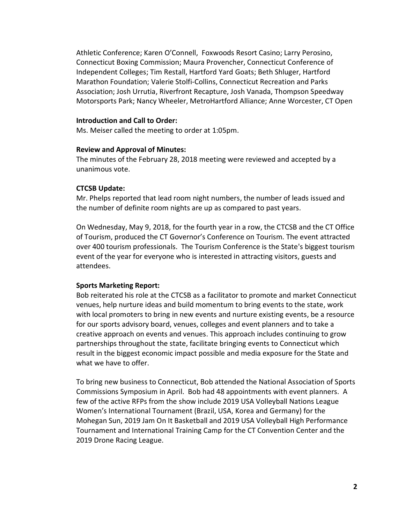Athletic Conference; Karen O'Connell, Foxwoods Resort Casino; Larry Perosino, Connecticut Boxing Commission; Maura Provencher, Connecticut Conference of Independent Colleges; Tim Restall, Hartford Yard Goats; Beth Shluger, Hartford Marathon Foundation; Valerie Stolfi-Collins, Connecticut Recreation and Parks Association; Josh Urrutia, Riverfront Recapture, Josh Vanada, Thompson Speedway Motorsports Park; Nancy Wheeler, MetroHartford Alliance; Anne Worcester, CT Open

### **Introduction and Call to Order:**

Ms. Meiser called the meeting to order at 1:05pm.

### **Review and Approval of Minutes:**

The minutes of the February 28, 2018 meeting were reviewed and accepted by a unanimous vote.

## **CTCSB Update:**

Mr. Phelps reported that lead room night numbers, the number of leads issued and the number of definite room nights are up as compared to past years.

On Wednesday, May 9, 2018, for the fourth year in a row, the CTCSB and the CT Office of Tourism, produced the CT Governor's Conference on Tourism. The event attracted over 400 tourism professionals. The Tourism Conference is the State's biggest tourism event of the year for everyone who is interested in attracting visitors, guests and attendees.

## **Sports Marketing Report:**

Bob reiterated his role at the CTCSB as a facilitator to promote and market Connecticut venues, help nurture ideas and build momentum to bring events to the state, work with local promoters to bring in new events and nurture existing events, be a resource for our sports advisory board, venues, colleges and event planners and to take a creative approach on events and venues. This approach includes continuing to grow partnerships throughout the state, facilitate bringing events to Connecticut which result in the biggest economic impact possible and media exposure for the State and what we have to offer.

To bring new business to Connecticut, Bob attended the National Association of Sports Commissions Symposium in April. Bob had 48 appointments with event planners. A few of the active RFPs from the show include 2019 USA Volleyball Nations League Women's International Tournament (Brazil, USA, Korea and Germany) for the Mohegan Sun, 2019 Jam On It Basketball and 2019 USA Volleyball High Performance Tournament and International Training Camp for the CT Convention Center and the 2019 Drone Racing League.